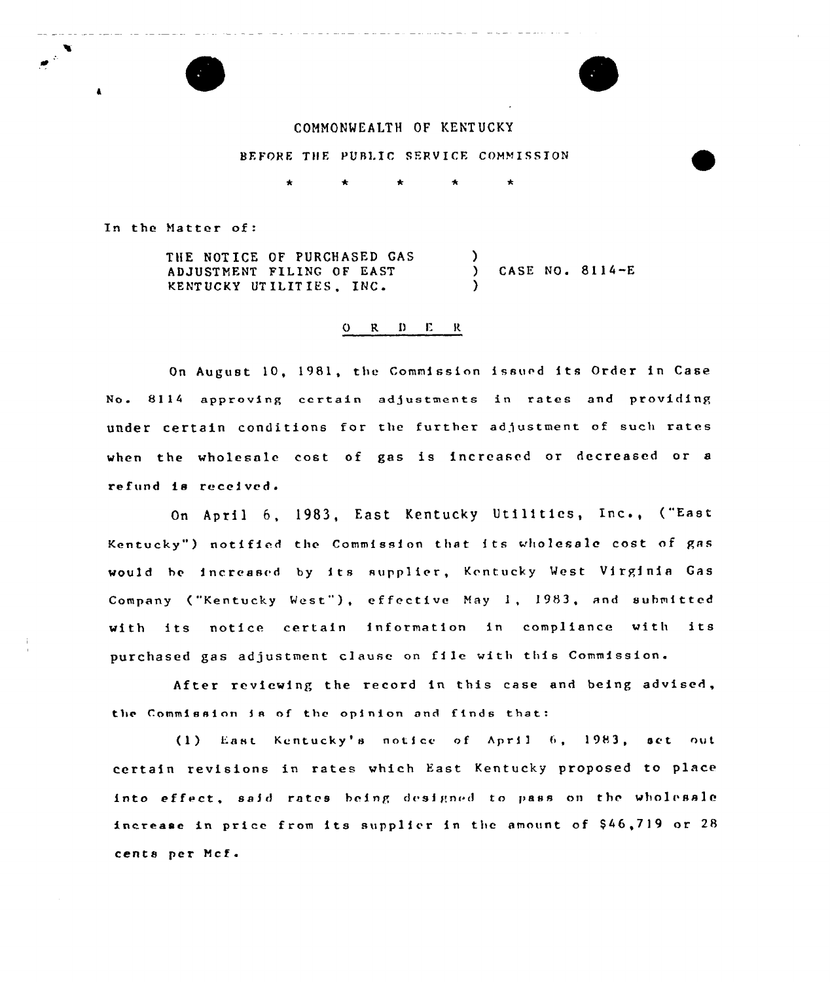

## COMMONWEALTH OF KENT UCKY

## BEFORE THE PUBLIC SERVICE COMMISSION

In the Natter of:

THE NOT ICE OF PURCHASED GAS ADJUSTMENT FILING OF EAST KENTUCKY UT ILIT IES, INC ) ) CASE NO. 8114-E )

## O R D E R

On August 10, 1981, the Commission issued its Order in Case No. 8114 approving certain adjustments in rates and providing under certain conditions for the further adjustment of such rates when the wholesale cost of gas is increased or decreased or a refund is received.

April 6, l983, East Kentucky Utilitics, Inc., {"East Kentucky") notified the Commission that its wholesale cost of gas would he increased by its supplier, Kentucky West Virginia Gas Company ("Kentucky West"), effective May 1, 1983, and submitted with its notice certain information in compliance with its purchased gas adjustment clause on file with this Commission.

After reviewing the record in this case and being advised, the Commission ts of the opinion and f1nds that:

 $(1)$  East Kentucky's notice of April 6, 1983, set out certain revisions in rates which East Kentucky proposed to place into effect, said rates being designed to pass on the wholesale increase in price from its supplier in the amount of  $$46,719$  or  $28$ cents per Ncf .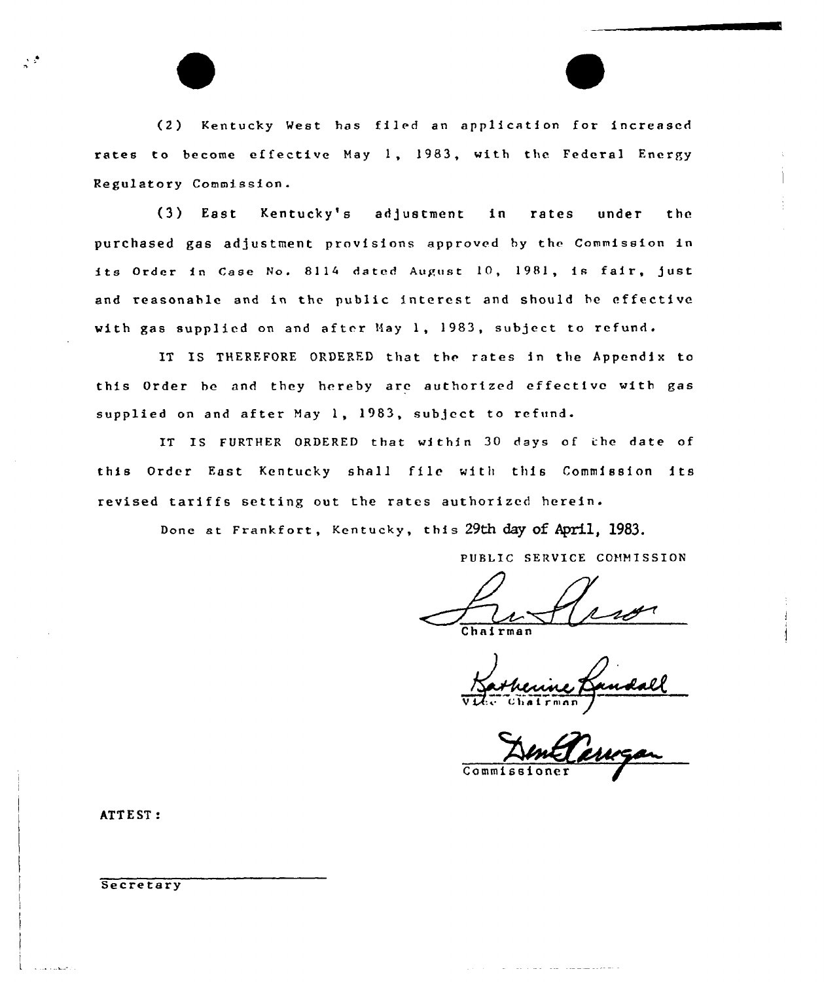(2) Kentucky West has filed an application for increased rates to become ef fective May 1, 1983, with the Federal Energy Regulatory Commission.

(3) East Kentucky's adjustment in rates under the purchased gas adjustment provisions approved by the Commission in its Order in Case No. 8114 dated August 10, 1981, is fair, just and reasonable and in the public interest and should be effective with gas supplied on and after Hay 1, 1983, subject to refund.

IT IS THEREFORE ORDERED that the rates in the Appendix to this Order be and they hereby are authorized effective witb gas supplied on and after May 1, 1983, subject to refund.

IT IS FURTHER ORDERED that within 30 days of the date of this Order Fast Kentucky shall file with this Commission its revised tariffs setting out the rates authorized herein.

Done at Frankfort, Kentucky, this 29th day of April, 1983.

PUBLIC SERVICE COMMISSION

Chairma

Commissioner

ATTEST:

 $\frac{1}{2}$  ,  $\frac{1}{2}$ 

**Secretary**